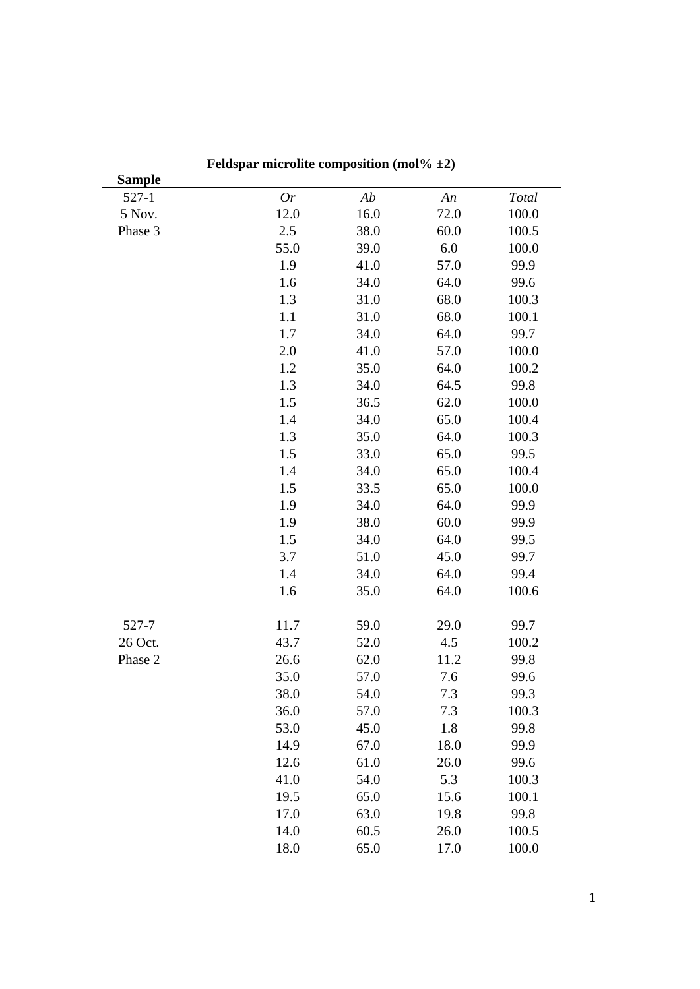| <b>Sample</b> |           |      |      |       |
|---------------|-----------|------|------|-------|
| $527-1$       | <b>Or</b> | Ab   | An   | Total |
| 5 Nov.        | 12.0      | 16.0 | 72.0 | 100.0 |
| Phase 3       | 2.5       | 38.0 | 60.0 | 100.5 |
|               | 55.0      | 39.0 | 6.0  | 100.0 |
|               | 1.9       | 41.0 | 57.0 | 99.9  |
|               | 1.6       | 34.0 | 64.0 | 99.6  |
|               | 1.3       | 31.0 | 68.0 | 100.3 |
|               | 1.1       | 31.0 | 68.0 | 100.1 |
|               | 1.7       | 34.0 | 64.0 | 99.7  |
|               | 2.0       | 41.0 | 57.0 | 100.0 |
|               | 1.2       | 35.0 | 64.0 | 100.2 |
|               | 1.3       | 34.0 | 64.5 | 99.8  |
|               | 1.5       | 36.5 | 62.0 | 100.0 |
|               | 1.4       | 34.0 | 65.0 | 100.4 |
|               | 1.3       | 35.0 | 64.0 | 100.3 |
|               | 1.5       | 33.0 | 65.0 | 99.5  |
|               | 1.4       | 34.0 | 65.0 | 100.4 |
|               | 1.5       | 33.5 | 65.0 | 100.0 |
|               | 1.9       | 34.0 | 64.0 | 99.9  |
|               | 1.9       | 38.0 | 60.0 | 99.9  |
|               | 1.5       | 34.0 | 64.0 | 99.5  |
|               | 3.7       | 51.0 | 45.0 | 99.7  |
|               | 1.4       | 34.0 | 64.0 | 99.4  |
|               | 1.6       | 35.0 | 64.0 | 100.6 |
| 527-7         | 11.7      | 59.0 | 29.0 | 99.7  |
| 26 Oct.       | 43.7      | 52.0 | 4.5  | 100.2 |
| Phase 2       | 26.6      | 62.0 | 11.2 | 99.8  |
|               | 35.0      | 57.0 | 7.6  | 99.6  |
|               | 38.0      | 54.0 | 7.3  | 99.3  |
|               | 36.0      | 57.0 | 7.3  | 100.3 |
|               | 53.0      | 45.0 | 1.8  | 99.8  |
|               | 14.9      | 67.0 | 18.0 | 99.9  |
|               | 12.6      | 61.0 | 26.0 | 99.6  |
|               | 41.0      | 54.0 | 5.3  | 100.3 |
|               | 19.5      | 65.0 | 15.6 | 100.1 |
|               | 17.0      | 63.0 | 19.8 | 99.8  |
|               | 14.0      | 60.5 | 26.0 | 100.5 |
|               | 18.0      | 65.0 | 17.0 | 100.0 |

**Feldspar microlite composition (mol% ±2)**